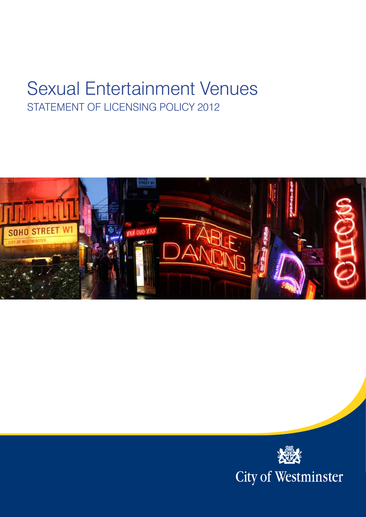# Sexual Entertainment Venues STATEMENT OF LICENSING POLICY 2012



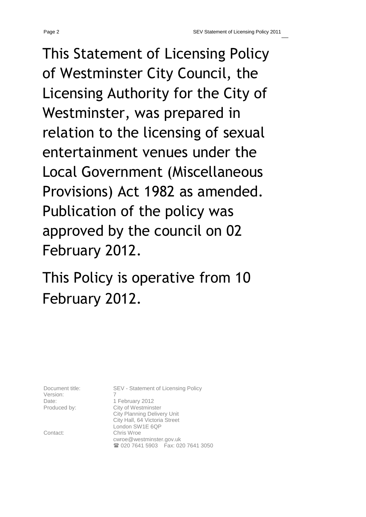This Statement of Licensing Policy of Westminster City Council, the Licensing Authority for the City of Westminster, was prepared in relation to the licensing of sexual entertainment venues under the Local Government (Miscellaneous Provisions) Act 1982 as amended. Publication of the policy was approved by the council on 02 February 2012.

This Policy is operative from 10 February 2012.

Version:

Document title: SEV - Statement of Licensing Policy Date: 1 February 2012 Produced by: City of Westminster City Planning Delivery Unit City Hall, 64 Victoria Street London SW1E 6QP Contact: Chris Wroe cwroe@westminster.gov.uk <sup>2</sup> 020 7641 5903 Fax: 020 7641 3050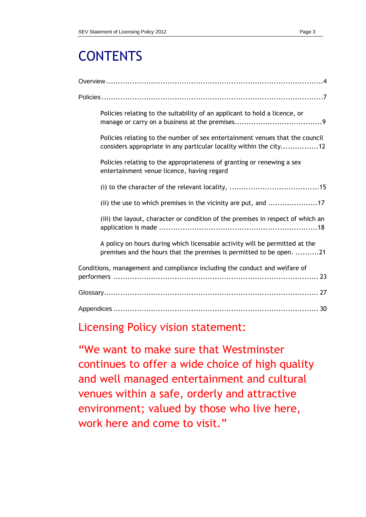# **CONTENTS**

| Policies relating to the suitability of an applicant to hold a licence, or                                                                          |
|-----------------------------------------------------------------------------------------------------------------------------------------------------|
| Policies relating to the number of sex entertainment venues that the council<br>considers appropriate in any particular locality within the city12  |
| Policies relating to the appropriateness of granting or renewing a sex<br>entertainment venue licence, having regard                                |
|                                                                                                                                                     |
| (ii) the use to which premises in the vicinity are put, and 17                                                                                      |
| (iii) the layout, character or condition of the premises in respect of which an                                                                     |
| A policy on hours during which licensable activity will be permitted at the<br>premises and the hours that the premises is permitted to be open. 21 |
| Conditions, management and compliance including the conduct and welfare of                                                                          |
|                                                                                                                                                     |
|                                                                                                                                                     |

# Licensing Policy vision statement:

"We want to make sure that Westminster continues to offer a wide choice of high quality and well managed entertainment and cultural venues within a safe, orderly and attractive environment; valued by those who live here, work here and come to visit."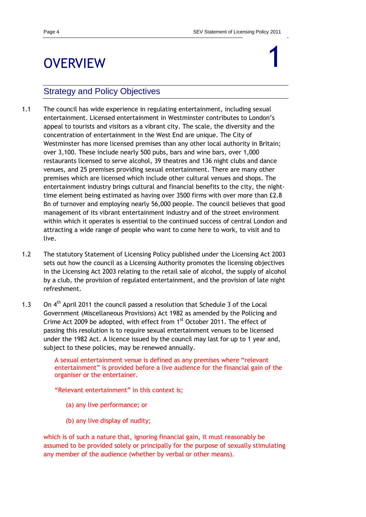# <span id="page-3-0"></span>**OVERVIEW**

# 1

# Strategy and Policy Objectives

- 1.1 The council has wide experience in regulating entertainment, including sexual entertainment. Licensed entertainment in Westminster contributes to London"s appeal to tourists and visitors as a vibrant city. The scale, the diversity and the concentration of entertainment in the West End are unique. The City of Westminster has more licensed premises than any other local authority in Britain; over 3,100. These include nearly 500 pubs, bars and wine bars, over 1,000 restaurants licensed to serve alcohol, 39 theatres and 136 night clubs and dance venues, and 25 premises providing sexual entertainment. There are many other premises which are licensed which include other cultural venues and shops. The entertainment industry brings cultural and financial benefits to the city, the nighttime element being estimated as having over 3500 firms with over more than £2.8 Bn of turnover and employing nearly 56,000 people. The council believes that good management of its vibrant entertainment industry and of the street environment within which it operates is essential to the continued success of central London and attracting a wide range of people who want to come here to work, to visit and to live.
- 1.2 The statutory Statement of Licensing Policy published under the Licensing Act 2003 sets out how the council as a Licensing Authority promotes the licensing objectives in the Licensing Act 2003 relating to the retail sale of alcohol, the supply of alcohol by a club, the provision of regulated entertainment, and the provision of late night refreshment.
- 1.3 On  $4<sup>th</sup>$  April 2011 the council passed a resolution that Schedule 3 of the Local Government (Miscellaneous Provisions) Act 1982 as amended by the Policing and Crime Act 2009 be adopted, with effect from 1<sup>st</sup> October 2011. The effect of passing this resolution is to require sexual entertainment venues to be licensed under the 1982 Act. A licence issued by the council may last for up to 1 year and, subject to these policies, may be renewed annually.

A sexual entertainment venue is defined as any premises where "relevant entertainment" is provided before a live audience for the financial gain of the organiser or the entertainer.

"Relevant entertainment" in this context is;

- (a) any live performance; or
- (b) any live display of nudity;

which is of such a nature that, ignoring financial gain, it must reasonably be assumed to be provided solely or principally for the purpose of sexually stimulating any member of the audience (whether by verbal or other means).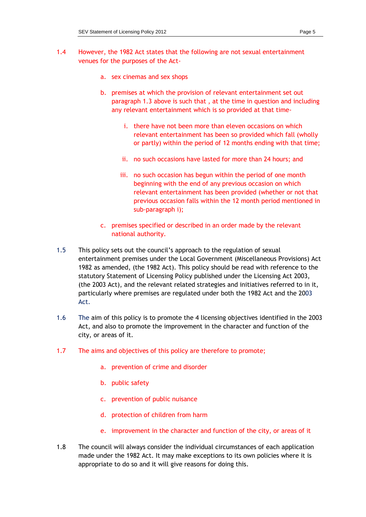- 1.4 However, the 1982 Act states that the following are not sexual entertainment venues for the purposes of the Act
	- a. sex cinemas and sex shops
	- b. premises at which the provision of relevant entertainment set out paragraph 1.3 above is such that , at the time in question and including any relevant entertainment which is so provided at that time
		- i. there have not been more than eleven occasions on which relevant entertainment has been so provided which fall (wholly or partly) within the period of 12 months ending with that time;
		- ii. no such occasions have lasted for more than 24 hours; and
		- iii. no such occasion has begun within the period of one month beginning with the end of any previous occasion on which relevant entertainment has been provided (whether or not that previous occasion falls within the 12 month period mentioned in sub-paragraph i);
	- c. premises specified or described in an order made by the relevant national authority.
- 1.5 This policy sets out the council"s approach to the regulation of sexual entertainment premises under the Local Government (Miscellaneous Provisions) Act 1982 as amended, (the 1982 Act). This policy should be read with reference to the statutory Statement of Licensing Policy published under the Licensing Act 2003, (the 2003 Act), and the relevant related strategies and initiatives referred to in it, particularly where premises are regulated under both the 1982 Act and the 2003 Act.
- 1.6 The aim of this policy is to promote the 4 licensing objectives identified in the 2003 Act, and also to promote the improvement in the character and function of the city, or areas of it.
- 1.7 The aims and objectives of this policy are therefore to promote;
	- a. prevention of crime and disorder
	- b. public safety
	- c. prevention of public nuisance
	- d. protection of children from harm
	- e. improvement in the character and function of the city, or areas of it
- 1.8 The council will always consider the individual circumstances of each application made under the 1982 Act. It may make exceptions to its own policies where it is appropriate to do so and it will give reasons for doing this.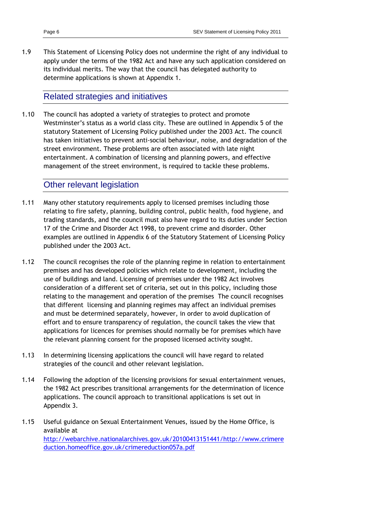1.9 This Statement of Licensing Policy does not undermine the right of any individual to apply under the terms of the 1982 Act and have any such application considered on its individual merits. The way that the council has delegated authority to determine applications is shown at Appendix 1.

### Related strategies and initiatives

1.10 The council has adopted a variety of strategies to protect and promote Westminster"s status as a world class city. These are outlined in Appendix 5 of the statutory Statement of Licensing Policy published under the 2003 Act. The council has taken initiatives to prevent anti-social behaviour, noise, and degradation of the street environment. These problems are often associated with late night entertainment. A combination of licensing and planning powers, and effective management of the street environment, is required to tackle these problems.

### Other relevant legislation

- 1.11 Many other statutory requirements apply to licensed premises including those relating to fire safety, planning, building control, public health, food hygiene, and trading standards, and the council must also have regard to its duties under Section 17 of the Crime and Disorder Act 1998, to prevent crime and disorder. Other examples are outlined in Appendix 6 of the Statutory Statement of Licensing Policy published under the 2003 Act.
- 1.12 The council recognises the role of the planning regime in relation to entertainment premises and has developed policies which relate to development, including the use of buildings and land. Licensing of premises under the 1982 Act involves consideration of a different set of criteria, set out in this policy, including those relating to the management and operation of the premises The council recognises that different licensing and planning regimes may affect an individual premises and must be determined separately, however, in order to avoid duplication of effort and to ensure transparency of regulation, the council takes the view that applications for licences for premises should normally be for premises which have the relevant planning consent for the proposed licensed activity sought.
- 1.13 In determining licensing applications the council will have regard to related strategies of the council and other relevant legislation.
- 1.14 Following the adoption of the licensing provisions for sexual entertainment venues, the 1982 Act prescribes transitional arrangements for the determination of licence applications. The council approach to transitional applications is set out in Appendix 3.
- 1.15 Useful guidance on Sexual Entertainment Venues, issued by the Home Office, is available at [http://webarchive.nationalarchives.gov.uk/20100413151441/http://www.crimere](http://webarchive.nationalarchives.gov.uk/20100413151441/http:/www.crimereduction.homeoffice.gov.uk/crimereduction057a.pdf) [duction.homeoffice.gov.uk/crimereduction057a.pdf](http://webarchive.nationalarchives.gov.uk/20100413151441/http:/www.crimereduction.homeoffice.gov.uk/crimereduction057a.pdf)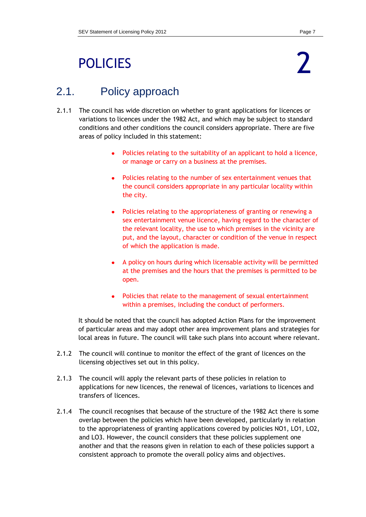# <span id="page-6-0"></span>POLICIES



# 2.1. Policy approach

- 2.1.1 The council has wide discretion on whether to grant applications for licences or variations to licences under the 1982 Act, and which may be subject to standard conditions and other conditions the council considers appropriate. There are five areas of policy included in this statement:
	- Policies relating to the suitability of an applicant to hold a licence,  $\bullet$ or manage or carry on a business at the premises.
	- Policies relating to the number of sex entertainment venues that the council considers appropriate in any particular locality within the city.
	- Policies relating to the appropriateness of granting or renewing a sex entertainment venue licence, having regard to the character of the relevant locality, the use to which premises in the vicinity are put, and the layout, character or condition of the venue in respect of which the application is made.
	- A policy on hours during which licensable activity will be permitted at the premises and the hours that the premises is permitted to be open.
	- Policies that relate to the management of sexual entertainment within a premises, including the conduct of performers.

It should be noted that the council has adopted Action Plans for the improvement of particular areas and may adopt other area improvement plans and strategies for local areas in future. The council will take such plans into account where relevant.

- 2.1.2 The council will continue to monitor the effect of the grant of licences on the licensing objectives set out in this policy.
- 2.1.3 The council will apply the relevant parts of these policies in relation to applications for new licences, the renewal of licences, variations to licences and transfers of licences.
- 2.1.4 The council recognises that because of the structure of the 1982 Act there is some overlap between the policies which have been developed, particularly in relation to the appropriateness of granting applications covered by policies NO1, LO1, LO2, and LO3. However, the council considers that these policies supplement one another and that the reasons given in relation to each of these policies support a consistent approach to promote the overall policy aims and objectives.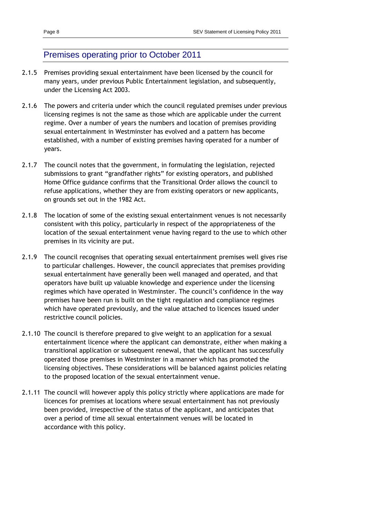### Premises operating prior to October 2011

- 2.1.5 Premises providing sexual entertainment have been licensed by the council for many years, under previous Public Entertainment legislation, and subsequently, under the Licensing Act 2003.
- 2.1.6 The powers and criteria under which the council regulated premises under previous licensing regimes is not the same as those which are applicable under the current regime. Over a number of years the numbers and location of premises providing sexual entertainment in Westminster has evolved and a pattern has become established, with a number of existing premises having operated for a number of years.
- 2.1.7 The council notes that the government, in formulating the legislation, rejected submissions to grant "grandfather rights" for existing operators, and published Home Office guidance confirms that the Transitional Order allows the council to refuse applications, whether they are from existing operators or new applicants, on grounds set out in the 1982 Act.
- 2.1.8 The location of some of the existing sexual entertainment venues is not necessarily consistent with this policy, particularly in respect of the appropriateness of the location of the sexual entertainment venue having regard to the use to which other premises in its vicinity are put.
- 2.1.9 The council recognises that operating sexual entertainment premises well gives rise to particular challenges. However, the council appreciates that premises providing sexual entertainment have generally been well managed and operated, and that operators have built up valuable knowledge and experience under the licensing regimes which have operated in Westminster. The council's confidence in the way premises have been run is built on the tight regulation and compliance regimes which have operated previously, and the value attached to licences issued under restrictive council policies.
- 2.1.10 The council is therefore prepared to give weight to an application for a sexual entertainment licence where the applicant can demonstrate, either when making a transitional application or subsequent renewal, that the applicant has successfully operated those premises in Westminster in a manner which has promoted the licensing objectives. These considerations will be balanced against policies relating to the proposed location of the sexual entertainment venue.
- 2.1.11 The council will however apply this policy strictly where applications are made for licences for premises at locations where sexual entertainment has not previously been provided, irrespective of the status of the applicant, and anticipates that over a period of time all sexual entertainment venues will be located in accordance with this policy.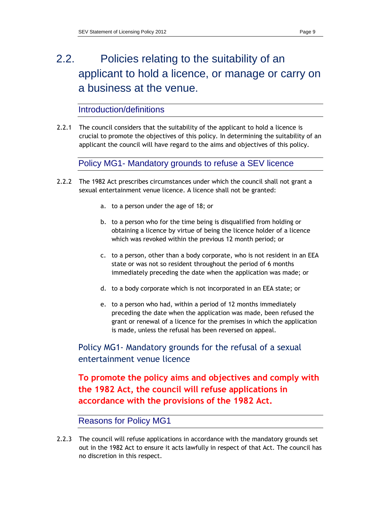# 2.2. Policies relating to the suitability of an applicant to hold a licence, or manage or carry on a business at the venue.

Introduction/definitions

2.2.1 The council considers that the suitability of the applicant to hold a licence is crucial to promote the objectives of this policy. In determining the suitability of an applicant the council will have regard to the aims and objectives of this policy.

Policy MG1- Mandatory grounds to refuse a SEV licence

- 2.2.2 The 1982 Act prescribes circumstances under which the council shall not grant a sexual entertainment venue licence. A licence shall not be granted:
	- a. to a person under the age of 18; or
	- b. to a person who for the time being is disqualified from holding or obtaining a licence by virtue of being the licence holder of a licence which was revoked within the previous 12 month period; or
	- c. to a person, other than a body corporate, who is not resident in an EEA state or was not so resident throughout the period of 6 months immediately preceding the date when the application was made; or
	- d. to a body corporate which is not incorporated in an EEA state; or
	- e. to a person who had, within a period of 12 months immediately preceding the date when the application was made, been refused the grant or renewal of a licence for the premises in which the application is made, unless the refusal has been reversed on appeal.

Policy MG1- Mandatory grounds for the refusal of a sexual entertainment venue licence

**To promote the policy aims and objectives and comply with the 1982 Act, the council will refuse applications in accordance with the provisions of the 1982 Act.**

### Reasons for Policy MG1

2.2.3 The council will refuse applications in accordance with the mandatory grounds set out in the 1982 Act to ensure it acts lawfully in respect of that Act. The council has no discretion in this respect.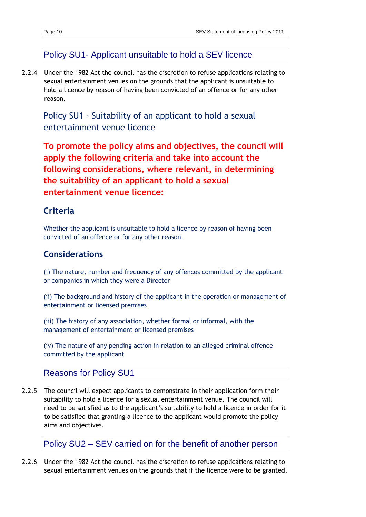# Policy SU1- Applicant unsuitable to hold a SEV licence

2.2.4 Under the 1982 Act the council has the discretion to refuse applications relating to sexual entertainment venues on the grounds that the applicant is unsuitable to hold a licence by reason of having been convicted of an offence or for any other reason.

Policy SU1 - Suitability of an applicant to hold a sexual entertainment venue licence

**To promote the policy aims and objectives, the council will apply the following criteria and take into account the following considerations, where relevant, in determining the suitability of an applicant to hold a sexual entertainment venue licence:**

### **Criteria**

Whether the applicant is unsuitable to hold a licence by reason of having been convicted of an offence or for any other reason.

### **Considerations**

(i) The nature, number and frequency of any offences committed by the applicant or companies in which they were a Director

(ii) The background and history of the applicant in the operation or management of entertainment or licensed premises

(iii) The history of any association, whether formal or informal, with the management of entertainment or licensed premises

(iv) The nature of any pending action in relation to an alleged criminal offence committed by the applicant

### Reasons for Policy SU1

2.2.5 The council will expect applicants to demonstrate in their application form their suitability to hold a licence for a sexual entertainment venue. The council will need to be satisfied as to the applicant"s suitability to hold a licence in order for it to be satisfied that granting a licence to the applicant would promote the policy aims and objectives.

Policy SU2 – SEV carried on for the benefit of another person

2.2.6 Under the 1982 Act the council has the discretion to refuse applications relating to sexual entertainment venues on the grounds that if the licence were to be granted,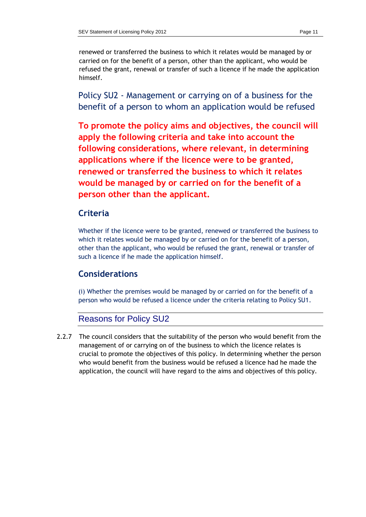renewed or transferred the business to which it relates would be managed by or carried on for the benefit of a person, other than the applicant, who would be refused the grant, renewal or transfer of such a licence if he made the application himself.

Policy SU2 - Management or carrying on of a business for the benefit of a person to whom an application would be refused

**To promote the policy aims and objectives, the council will apply the following criteria and take into account the following considerations, where relevant, in determining applications where if the licence were to be granted, renewed or transferred the business to which it relates would be managed by or carried on for the benefit of a person other than the applicant.**

## **Criteria**

Whether if the licence were to be granted, renewed or transferred the business to which it relates would be managed by or carried on for the benefit of a person, other than the applicant, who would be refused the grant, renewal or transfer of such a licence if he made the application himself.

# **Considerations**

(i) Whether the premises would be managed by or carried on for the benefit of a person who would be refused a licence under the criteria relating to Policy SU1.

### Reasons for Policy SU2

2.2.7 The council considers that the suitability of the person who would benefit from the management of or carrying on of the business to which the licence relates is crucial to promote the objectives of this policy. In determining whether the person who would benefit from the business would be refused a licence had he made the application, the council will have regard to the aims and objectives of this policy.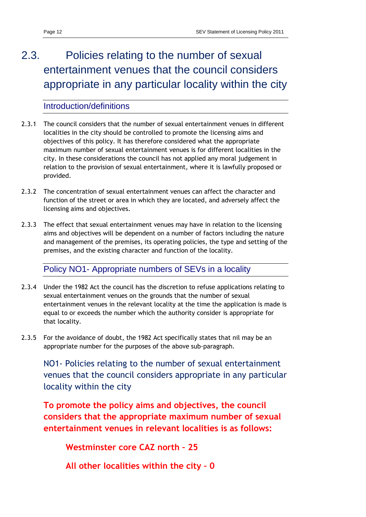# 2.3. Policies relating to the number of sexual entertainment venues that the council considers appropriate in any particular locality within the city

## Introduction/definitions

- 2.3.1 The council considers that the number of sexual entertainment venues in different localities in the city should be controlled to promote the licensing aims and objectives of this policy. It has therefore considered what the appropriate maximum number of sexual entertainment venues is for different localities in the city. In these considerations the council has not applied any moral judgement in relation to the provision of sexual entertainment, where it is lawfully proposed or provided.
- 2.3.2 The concentration of sexual entertainment venues can affect the character and function of the street or area in which they are located, and adversely affect the licensing aims and objectives.
- 2.3.3 The effect that sexual entertainment venues may have in relation to the licensing aims and objectives will be dependent on a number of factors including the nature and management of the premises, its operating policies, the type and setting of the premises, and the existing character and function of the locality.

### Policy NO1- Appropriate numbers of SEVs in a locality

- 2.3.4 Under the 1982 Act the council has the discretion to refuse applications relating to sexual entertainment venues on the grounds that the number of sexual entertainment venues in the relevant locality at the time the application is made is equal to or exceeds the number which the authority consider is appropriate for that locality.
- 2.3.5 For the avoidance of doubt, the 1982 Act specifically states that nil may be an appropriate number for the purposes of the above sub-paragraph.

NO1- Policies relating to the number of sexual entertainment venues that the council considers appropriate in any particular locality within the city

**To promote the policy aims and objectives, the council considers that the appropriate maximum number of sexual entertainment venues in relevant localities is as follows:**

**Westminster core CAZ north – 25**

**All other localities within the city – 0**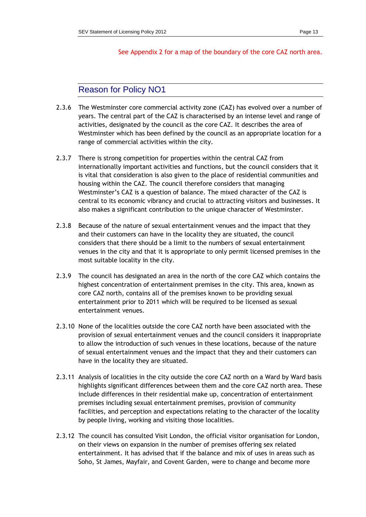#### See Appendix 2 for a map of the boundary of the core CAZ north area.

### Reason for Policy NO1

- 2.3.6 The Westminster core commercial activity zone (CAZ) has evolved over a number of years. The central part of the CAZ is characterised by an intense level and range of activities, designated by the council as the core CAZ. It describes the area of Westminster which has been defined by the council as an appropriate location for a range of commercial activities within the city.
- 2.3.7 There is strong competition for properties within the central CAZ from internationally important activities and functions, but the council considers that it is vital that consideration is also given to the place of residential communities and housing within the CAZ. The council therefore considers that managing Westminster"s CAZ is a question of balance. The mixed character of the CAZ is central to its economic vibrancy and crucial to attracting visitors and businesses. It also makes a significant contribution to the unique character of Westminster.
- 2.3.8 Because of the nature of sexual entertainment venues and the impact that they and their customers can have in the locality they are situated, the council considers that there should be a limit to the numbers of sexual entertainment venues in the city and that it is appropriate to only permit licensed premises in the most suitable locality in the city.
- 2.3.9 The council has designated an area in the north of the core CAZ which contains the highest concentration of entertainment premises in the city. This area, known as core CAZ north, contains all of the premises known to be providing sexual entertainment prior to 2011 which will be required to be licensed as sexual entertainment venues.
- 2.3.10 None of the localities outside the core CAZ north have been associated with the provision of sexual entertainment venues and the council considers it inappropriate to allow the introduction of such venues in these locations, because of the nature of sexual entertainment venues and the impact that they and their customers can have in the locality they are situated.
- 2.3.11 Analysis of localities in the city outside the core CAZ north on a Ward by Ward basis highlights significant differences between them and the core CAZ north area. These include differences in their residential make up, concentration of entertainment premises including sexual entertainment premises, provision of community facilities, and perception and expectations relating to the character of the locality by people living, working and visiting those localities.
- 2.3.12 The council has consulted Visit London, the official visitor organisation for London, on their views on expansion in the number of premises offering sex related entertainment. It has advised that if the balance and mix of uses in areas such as Soho, St James, Mayfair, and Covent Garden, were to change and become more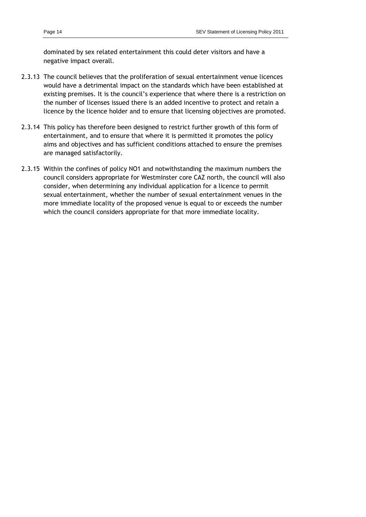dominated by sex related entertainment this could deter visitors and have a negative impact overall.

- 2.3.13 The council believes that the proliferation of sexual entertainment venue licences would have a detrimental impact on the standards which have been established at existing premises. It is the council's experience that where there is a restriction on the number of licenses issued there is an added incentive to protect and retain a licence by the licence holder and to ensure that licensing objectives are promoted.
- 2.3.14 This policy has therefore been designed to restrict further growth of this form of entertainment, and to ensure that where it is permitted it promotes the policy aims and objectives and has sufficient conditions attached to ensure the premises are managed satisfactorily.
- 2.3.15 Within the confines of policy NO1 and notwithstanding the maximum numbers the council considers appropriate for Westminster core CAZ north, the council will also consider, when determining any individual application for a licence to permit sexual entertainment, whether the number of sexual entertainment venues in the more immediate locality of the proposed venue is equal to or exceeds the number which the council considers appropriate for that more immediate locality.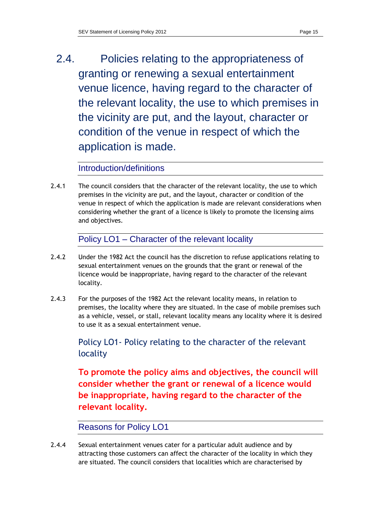2.4. Policies relating to the appropriateness of granting or renewing a sexual entertainment venue licence, having regard to the character of the relevant locality, the use to which premises in the vicinity are put, and the layout, character or condition of the venue in respect of which the application is made.

# Introduction/definitions

2.4.1 The council considers that the character of the relevant locality, the use to which premises in the vicinity are put, and the layout, character or condition of the venue in respect of which the application is made are relevant considerations when considering whether the grant of a licence is likely to promote the licensing aims and objectives.

Policy LO1 – Character of the relevant locality

- 2.4.2 Under the 1982 Act the council has the discretion to refuse applications relating to sexual entertainment venues on the grounds that the grant or renewal of the licence would be inappropriate, having regard to the character of the relevant locality.
- 2.4.3 For the purposes of the 1982 Act the relevant locality means, in relation to premises, the locality where they are situated. In the case of mobile premises such as a vehicle, vessel, or stall, relevant locality means any locality where it is desired to use it as a sexual entertainment venue.

Policy LO1- Policy relating to the character of the relevant locality

**To promote the policy aims and objectives, the council will consider whether the grant or renewal of a licence would be inappropriate, having regard to the character of the relevant locality.**

# Reasons for Policy LO1

2.4.4 Sexual entertainment venues cater for a particular adult audience and by attracting those customers can affect the character of the locality in which they are situated. The council considers that localities which are characterised by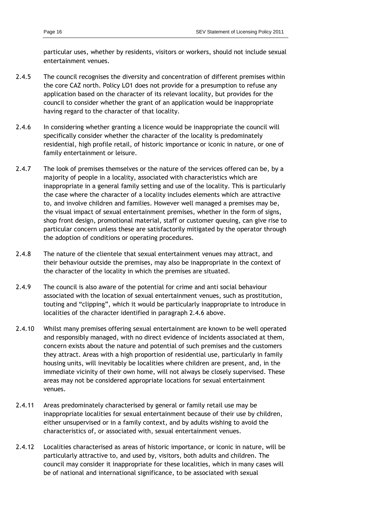particular uses, whether by residents, visitors or workers, should not include sexual entertainment venues.

- 2.4.5 The council recognises the diversity and concentration of different premises within the core CAZ north. Policy LO1 does not provide for a presumption to refuse any application based on the character of its relevant locality, but provides for the council to consider whether the grant of an application would be inappropriate having regard to the character of that locality.
- 2.4.6 In considering whether granting a licence would be inappropriate the council will specifically consider whether the character of the locality is predominately residential, high profile retail, of historic importance or iconic in nature, or one of family entertainment or leisure.
- 2.4.7 The look of premises themselves or the nature of the services offered can be, by a majority of people in a locality, associated with characteristics which are inappropriate in a general family setting and use of the locality. This is particularly the case where the character of a locality includes elements which are attractive to, and involve children and families. However well managed a premises may be, the visual impact of sexual entertainment premises, whether in the form of signs, shop front design, promotional material, staff or customer queuing, can give rise to particular concern unless these are satisfactorily mitigated by the operator through the adoption of conditions or operating procedures.
- 2.4.8 The nature of the clientele that sexual entertainment venues may attract, and their behaviour outside the premises, may also be inappropriate in the context of the character of the locality in which the premises are situated.
- 2.4.9 The council is also aware of the potential for crime and anti social behaviour associated with the location of sexual entertainment venues, such as prostitution, touting and "clipping", which it would be particularly inappropriate to introduce in localities of the character identified in paragraph 2.4.6 above.
- 2.4.10 Whilst many premises offering sexual entertainment are known to be well operated and responsibly managed, with no direct evidence of incidents associated at them, concern exists about the nature and potential of such premises and the customers they attract. Areas with a high proportion of residential use, particularly in family housing units, will inevitably be localities where children are present, and, in the immediate vicinity of their own home, will not always be closely supervised. These areas may not be considered appropriate locations for sexual entertainment venues.
- 2.4.11 Areas predominately characterised by general or family retail use may be inappropriate localities for sexual entertainment because of their use by children, either unsupervised or in a family context, and by adults wishing to avoid the characteristics of, or associated with, sexual entertainment venues.
- 2.4.12 Localities characterised as areas of historic importance, or iconic in nature, will be particularly attractive to, and used by, visitors, both adults and children. The council may consider it inappropriate for these localities, which in many cases will be of national and international significance, to be associated with sexual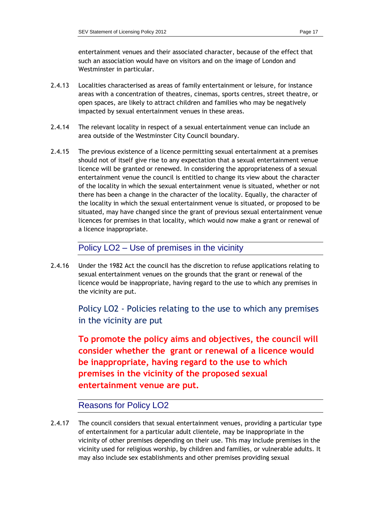entertainment venues and their associated character, because of the effect that such an association would have on visitors and on the image of London and Westminster in particular.

- 2.4.13 Localities characterised as areas of family entertainment or leisure, for instance areas with a concentration of theatres, cinemas, sports centres, street theatre, or open spaces, are likely to attract children and families who may be negatively impacted by sexual entertainment venues in these areas.
- 2.4.14 The relevant locality in respect of a sexual entertainment venue can include an area outside of the Westminster City Council boundary.
- 2.4.15 The previous existence of a licence permitting sexual entertainment at a premises should not of itself give rise to any expectation that a sexual entertainment venue licence will be granted or renewed. In considering the appropriateness of a sexual entertainment venue the council is entitled to change its view about the character of the locality in which the sexual entertainment venue is situated, whether or not there has been a change in the character of the locality. Equally, the character of the locality in which the sexual entertainment venue is situated, or proposed to be situated, may have changed since the grant of previous sexual entertainment venue licences for premises in that locality, which would now make a grant or renewal of a licence inappropriate.

### Policy LO2 – Use of premises in the vicinity

2.4.16 Under the 1982 Act the council has the discretion to refuse applications relating to sexual entertainment venues on the grounds that the grant or renewal of the licence would be inappropriate, having regard to the use to which any premises in the vicinity are put.

> Policy LO2 - Policies relating to the use to which any premises in the vicinity are put

> **To promote the policy aims and objectives, the council will consider whether the grant or renewal of a licence would be inappropriate, having regard to the use to which premises in the vicinity of the proposed sexual entertainment venue are put.**

### Reasons for Policy LO2

2.4.17 The council considers that sexual entertainment venues, providing a particular type of entertainment for a particular adult clientele, may be inappropriate in the vicinity of other premises depending on their use. This may include premises in the vicinity used for religious worship, by children and families, or vulnerable adults. It may also include sex establishments and other premises providing sexual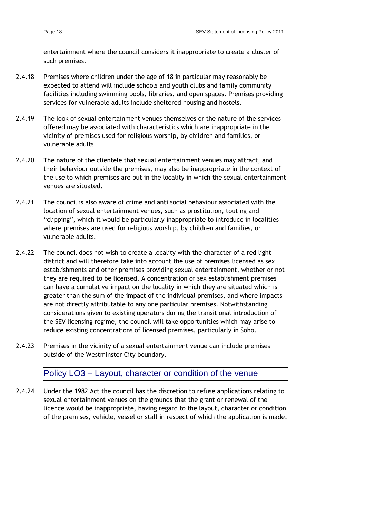entertainment where the council considers it inappropriate to create a cluster of such premises.

- 2.4.18 Premises where children under the age of 18 in particular may reasonably be expected to attend will include schools and youth clubs and family community facilities including swimming pools, libraries, and open spaces. Premises providing services for vulnerable adults include sheltered housing and hostels.
- 2.4.19 The look of sexual entertainment venues themselves or the nature of the services offered may be associated with characteristics which are inappropriate in the vicinity of premises used for religious worship, by children and families, or vulnerable adults.
- 2.4.20 The nature of the clientele that sexual entertainment venues may attract, and their behaviour outside the premises, may also be inappropriate in the context of the use to which premises are put in the locality in which the sexual entertainment venues are situated.
- 2.4.21 The council is also aware of crime and anti social behaviour associated with the location of sexual entertainment venues, such as prostitution, touting and "clipping", which it would be particularly inappropriate to introduce in localities where premises are used for religious worship, by children and families, or vulnerable adults.
- 2.4.22 The council does not wish to create a locality with the character of a red light district and will therefore take into account the use of premises licensed as sex establishments and other premises providing sexual entertainment, whether or not they are required to be licensed. A concentration of sex establishment premises can have a cumulative impact on the locality in which they are situated which is greater than the sum of the impact of the individual premises, and where impacts are not directly attributable to any one particular premises. Notwithstanding considerations given to existing operators during the transitional introduction of the SEV licensing regime, the council will take opportunities which may arise to reduce existing concentrations of licensed premises, particularly in Soho.
- 2.4.23 Premises in the vicinity of a sexual entertainment venue can include premises outside of the Westminster City boundary.

### Policy LO3 – Layout, character or condition of the venue

2.4.24 Under the 1982 Act the council has the discretion to refuse applications relating to sexual entertainment venues on the grounds that the grant or renewal of the licence would be inappropriate, having regard to the layout, character or condition of the premises, vehicle, vessel or stall in respect of which the application is made.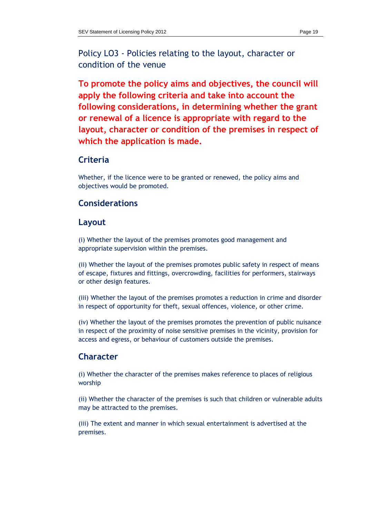Policy LO3 - Policies relating to the layout, character or condition of the venue

**To promote the policy aims and objectives, the council will apply the following criteria and take into account the following considerations, in determining whether the grant or renewal of a licence is appropriate with regard to the layout, character or condition of the premises in respect of which the application is made.**

### **Criteria**

Whether, if the licence were to be granted or renewed, the policy aims and objectives would be promoted.

### **Considerations**

#### **Layout**

(i) Whether the layout of the premises promotes good management and appropriate supervision within the premises.

(ii) Whether the layout of the premises promotes public safety in respect of means of escape, fixtures and fittings, overcrowding, facilities for performers, stairways or other design features.

(iii) Whether the layout of the premises promotes a reduction in crime and disorder in respect of opportunity for theft, sexual offences, violence, or other crime.

(iv) Whether the layout of the premises promotes the prevention of public nuisance in respect of the proximity of noise sensitive premises in the vicinity, provision for access and egress, or behaviour of customers outside the premises.

### **Character**

(i) Whether the character of the premises makes reference to places of religious worship

(ii) Whether the character of the premises is such that children or vulnerable adults may be attracted to the premises.

(iii) The extent and manner in which sexual entertainment is advertised at the premises.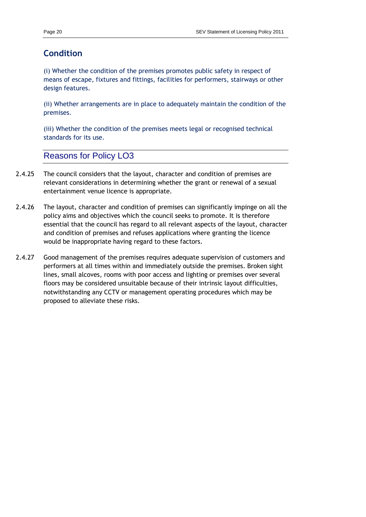# **Condition**

(i) Whether the condition of the premises promotes public safety in respect of means of escape, fixtures and fittings, facilities for performers, stairways or other design features.

(ii) Whether arrangements are in place to adequately maintain the condition of the premises.

(iii) Whether the condition of the premises meets legal or recognised technical standards for its use.

# Reasons for Policy LO3

- 2.4.25 The council considers that the layout, character and condition of premises are relevant considerations in determining whether the grant or renewal of a sexual entertainment venue licence is appropriate.
- 2.4.26 The layout, character and condition of premises can significantly impinge on all the policy aims and objectives which the council seeks to promote. It is therefore essential that the council has regard to all relevant aspects of the layout, character and condition of premises and refuses applications where granting the licence would be inappropriate having regard to these factors.
- 2.4.27 Good management of the premises requires adequate supervision of customers and performers at all times within and immediately outside the premises. Broken sight lines, small alcoves, rooms with poor access and lighting or premises over several floors may be considered unsuitable because of their intrinsic layout difficulties, notwithstanding any CCTV or management operating procedures which may be proposed to alleviate these risks.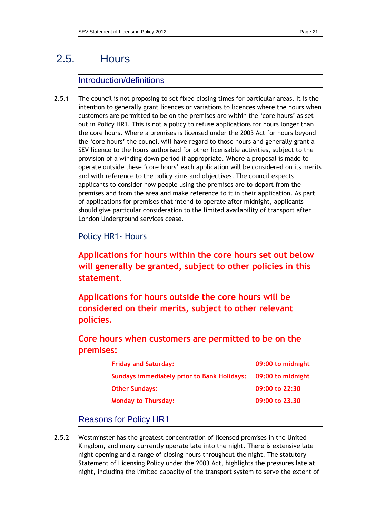# 2.5. Hours

# Introduction/definitions

2.5.1 The council is not proposing to set fixed closing times for particular areas. It is the intention to generally grant licences or variations to licences where the hours when customers are permitted to be on the premises are within the "core hours" as set out in Policy HR1. This is not a policy to refuse applications for hours longer than the core hours. Where a premises is licensed under the 2003 Act for hours beyond the "core hours" the council will have regard to those hours and generally grant a SEV licence to the hours authorised for other licensable activities, subject to the provision of a winding down period if appropriate. Where a proposal is made to operate outside these "core hours" each application will be considered on its merits and with reference to the policy aims and objectives. The council expects applicants to consider how people using the premises are to depart from the premises and from the area and make reference to it in their application. As part of applications for premises that intend to operate after midnight, applicants should give particular consideration to the limited availability of transport after London Underground services cease.

Policy HR1- Hours

**Applications for hours within the core hours set out below will generally be granted, subject to other policies in this statement.** 

**Applications for hours outside the core hours will be considered on their merits, subject to other relevant policies.**

**Core hours when customers are permitted to be on the premises:**

| <b>Friday and Saturday:</b>                        | 09:00 to midnight |
|----------------------------------------------------|-------------------|
| <b>Sundays immediately prior to Bank Holidays:</b> | 09:00 to midnight |
| <b>Other Sundays:</b>                              | 09:00 to 22:30    |
| <b>Monday to Thursday:</b>                         | 09:00 to 23.30    |

# Reasons for Policy HR1

2.5.2 Westminster has the greatest concentration of licensed premises in the United Kingdom, and many currently operate late into the night. There is extensive late night opening and a range of closing hours throughout the night. The statutory Statement of Licensing Policy under the 2003 Act, highlights the pressures late at night, including the limited capacity of the transport system to serve the extent of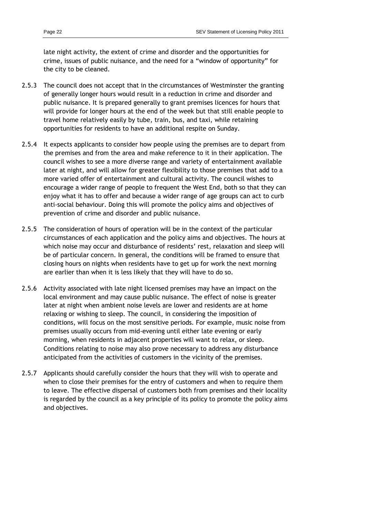- 2.5.3 The council does not accept that in the circumstances of Westminster the granting of generally longer hours would result in a reduction in crime and disorder and public nuisance. It is prepared generally to grant premises licences for hours that will provide for longer hours at the end of the week but that still enable people to travel home relatively easily by tube, train, bus, and taxi, while retaining opportunities for residents to have an additional respite on Sunday.
- 2.5.4 It expects applicants to consider how people using the premises are to depart from the premises and from the area and make reference to it in their application. The council wishes to see a more diverse range and variety of entertainment available later at night, and will allow for greater flexibility to those premises that add to a more varied offer of entertainment and cultural activity. The council wishes to encourage a wider range of people to frequent the West End, both so that they can enjoy what it has to offer and because a wider range of age groups can act to curb anti-social behaviour. Doing this will promote the policy aims and objectives of prevention of crime and disorder and public nuisance.
- 2.5.5 The consideration of hours of operation will be in the context of the particular circumstances of each application and the policy aims and objectives. The hours at which noise may occur and disturbance of residents' rest, relaxation and sleep will be of particular concern. In general, the conditions will be framed to ensure that closing hours on nights when residents have to get up for work the next morning are earlier than when it is less likely that they will have to do so.
- 2.5.6 Activity associated with late night licensed premises may have an impact on the local environment and may cause public nuisance. The effect of noise is greater later at night when ambient noise levels are lower and residents are at home relaxing or wishing to sleep. The council, in considering the imposition of conditions, will focus on the most sensitive periods. For example, music noise from premises usually occurs from mid-evening until either late evening or early morning, when residents in adjacent properties will want to relax, or sleep. Conditions relating to noise may also prove necessary to address any disturbance anticipated from the activities of customers in the vicinity of the premises.
- 2.5.7 Applicants should carefully consider the hours that they will wish to operate and when to close their premises for the entry of customers and when to require them to leave. The effective dispersal of customers both from premises and their locality is regarded by the council as a key principle of its policy to promote the policy aims and objectives.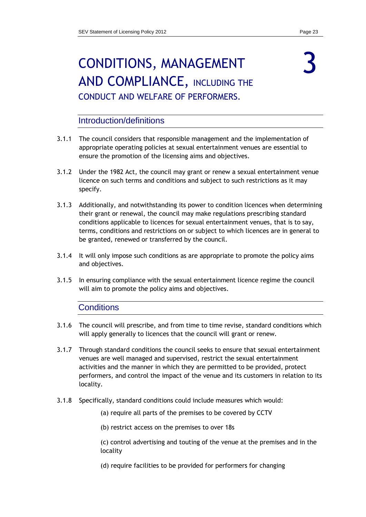# <span id="page-22-0"></span>CONDITIONS, MANAGEMENT AND COMPLIANCE, INCLUDING THE CONDUCT AND WELFARE OF PERFORMERS.

### Introduction/definitions

- 3.1.1 The council considers that responsible management and the implementation of appropriate operating policies at sexual entertainment venues are essential to ensure the promotion of the licensing aims and objectives.
- 3.1.2 Under the 1982 Act, the council may grant or renew a sexual entertainment venue licence on such terms and conditions and subject to such restrictions as it may specify.
- 3.1.3 Additionally, and notwithstanding its power to condition licences when determining their grant or renewal, the council may make regulations prescribing standard conditions applicable to licences for sexual entertainment venues, that is to say, terms, conditions and restrictions on or subject to which licences are in general to be granted, renewed or transferred by the council.
- 3.1.4 It will only impose such conditions as are appropriate to promote the policy aims and objectives.
- 3.1.5 In ensuring compliance with the sexual entertainment licence regime the council will aim to promote the policy aims and objectives.

### **Conditions**

- 3.1.6 The council will prescribe, and from time to time revise, standard conditions which will apply generally to licences that the council will grant or renew.
- 3.1.7 Through standard conditions the council seeks to ensure that sexual entertainment venues are well managed and supervised, restrict the sexual entertainment activities and the manner in which they are permitted to be provided, protect performers, and control the impact of the venue and its customers in relation to its locality.
- 3.1.8 Specifically, standard conditions could include measures which would:
	- (a) require all parts of the premises to be covered by CCTV
	- (b) restrict access on the premises to over 18s

(c) control advertising and touting of the venue at the premises and in the locality

(d) require facilities to be provided for performers for changing

# 3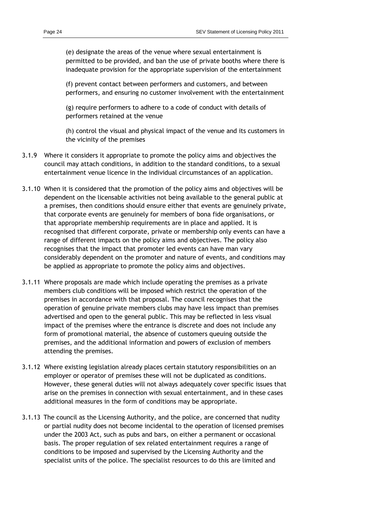(e) designate the areas of the venue where sexual entertainment is permitted to be provided, and ban the use of private booths where there is inadequate provision for the appropriate supervision of the entertainment

(f) prevent contact between performers and customers, and between performers, and ensuring no customer involvement with the entertainment

(g) require performers to adhere to a code of conduct with details of performers retained at the venue

(h) control the visual and physical impact of the venue and its customers in the vicinity of the premises

- 3.1.9 Where it considers it appropriate to promote the policy aims and objectives the council may attach conditions, in addition to the standard conditions, to a sexual entertainment venue licence in the individual circumstances of an application.
- 3.1.10 When it is considered that the promotion of the policy aims and objectives will be dependent on the licensable activities not being available to the general public at a premises, then conditions should ensure either that events are genuinely private, that corporate events are genuinely for members of bona fide organisations, or that appropriate membership requirements are in place and applied. It is recognised that different corporate, private or membership only events can have a range of different impacts on the policy aims and objectives. The policy also recognises that the impact that promoter led events can have man vary considerably dependent on the promoter and nature of events, and conditions may be applied as appropriate to promote the policy aims and objectives.
- 3.1.11 Where proposals are made which include operating the premises as a private members club conditions will be imposed which restrict the operation of the premises in accordance with that proposal. The council recognises that the operation of genuine private members clubs may have less impact than premises advertised and open to the general public. This may be reflected in less visual impact of the premises where the entrance is discrete and does not include any form of promotional material, the absence of customers queuing outside the premises, and the additional information and powers of exclusion of members attending the premises.
- 3.1.12 Where existing legislation already places certain statutory responsibilities on an employer or operator of premises these will not be duplicated as conditions. However, these general duties will not always adequately cover specific issues that arise on the premises in connection with sexual entertainment, and in these cases additional measures in the form of conditions may be appropriate.
- 3.1.13 The council as the Licensing Authority, and the police, are concerned that nudity or partial nudity does not become incidental to the operation of licensed premises under the 2003 Act, such as pubs and bars, on either a permanent or occasional basis. The proper regulation of sex related entertainment requires a range of conditions to be imposed and supervised by the Licensing Authority and the specialist units of the police. The specialist resources to do this are limited and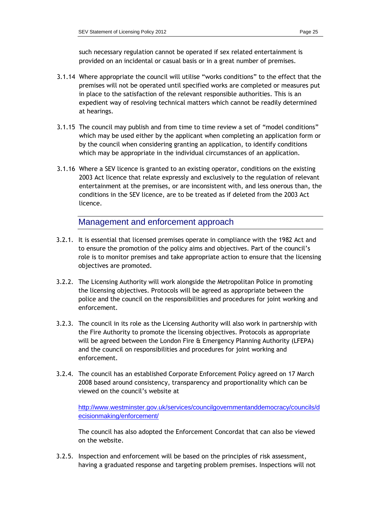such necessary regulation cannot be operated if sex related entertainment is provided on an incidental or casual basis or in a great number of premises.

- 3.1.14 Where appropriate the council will utilise "works conditions" to the effect that the premises will not be operated until specified works are completed or measures put in place to the satisfaction of the relevant responsible authorities. This is an expedient way of resolving technical matters which cannot be readily determined at hearings.
- 3.1.15 The council may publish and from time to time review a set of "model conditions" which may be used either by the applicant when completing an application form or by the council when considering granting an application, to identify conditions which may be appropriate in the individual circumstances of an application.
- 3.1.16 Where a SEV licence is granted to an existing operator, conditions on the existing 2003 Act licence that relate expressly and exclusively to the regulation of relevant entertainment at the premises, or are inconsistent with, and less onerous than, the conditions in the SEV licence, are to be treated as if deleted from the 2003 Act licence.

Management and enforcement approach

- 3.2.1. It is essential that licensed premises operate in compliance with the 1982 Act and to ensure the promotion of the policy aims and objectives. Part of the council"s role is to monitor premises and take appropriate action to ensure that the licensing objectives are promoted.
- 3.2.2. The Licensing Authority will work alongside the Metropolitan Police in promoting the licensing objectives. Protocols will be agreed as appropriate between the police and the council on the responsibilities and procedures for joint working and enforcement.
- 3.2.3. The council in its role as the Licensing Authority will also work in partnership with the Fire Authority to promote the licensing objectives. Protocols as appropriate will be agreed between the London Fire & Emergency Planning Authority (LFEPA) and the council on responsibilities and procedures for joint working and enforcement.
- 3.2.4. The council has an established Corporate Enforcement Policy agreed on 17 March 2008 based around consistency, transparency and proportionality which can be viewed on the council"s website at

http://www.westminster.gov.uk/services/councilgovernmentanddemocracy/councils/d ecisionmaking/enforcement/

The council has also adopted the Enforcement Concordat that can also be viewed on the website.

3.2.5. Inspection and enforcement will be based on the principles of risk assessment, having a graduated response and targeting problem premises. Inspections will not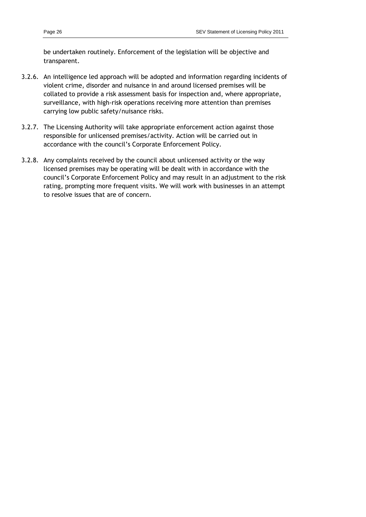be undertaken routinely. Enforcement of the legislation will be objective and transparent.

- 3.2.6. An intelligence led approach will be adopted and information regarding incidents of violent crime, disorder and nuisance in and around licensed premises will be collated to provide a risk assessment basis for inspection and, where appropriate, surveillance, with high-risk operations receiving more attention than premises carrying low public safety/nuisance risks.
- 3.2.7. The Licensing Authority will take appropriate enforcement action against those responsible for unlicensed premises/activity. Action will be carried out in accordance with the council"s Corporate Enforcement Policy.
- 3.2.8. Any complaints received by the council about unlicensed activity or the way licensed premises may be operating will be dealt with in accordance with the council"s Corporate Enforcement Policy and may result in an adjustment to the risk rating, prompting more frequent visits. We will work with businesses in an attempt to resolve issues that are of concern.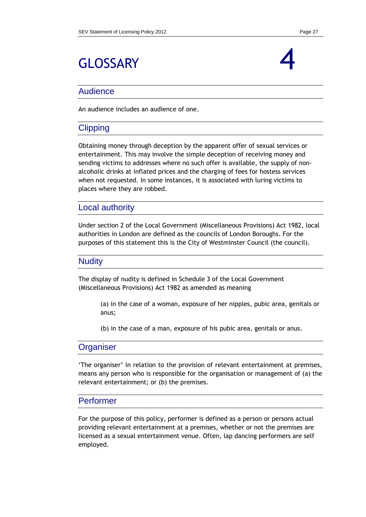# <span id="page-26-0"></span>GLOSSARY



### Audience

An audience includes an audience of one.

### **Clipping**

Obtaining money through deception by the apparent offer of sexual services or entertainment. This may involve the simple deception of receiving money and sending victims to addresses where no such offer is available, the supply of nonalcoholic drinks at inflated prices and the charging of fees for hostess services when not requested. In some instances, it is associated with luring victims to places where they are robbed.

### Local authority

Under section 2 of the Local Government (Miscellaneous Provisions) Act 1982, local authorities in London are defined as the councils of London Boroughs. For the purposes of this statement this is the City of Westminster Council (the council).

#### **Nudity**

The display of nudity is defined in Schedule 3 of the Local Government (Miscellaneous Provisions) Act 1982 as amended as meaning

> (a) in the case of a woman, exposure of her nipples, pubic area, genitals or anus;

(b) in the case of a man, exposure of his pubic area, genitals or anus.

### **Organiser**

"The organiser" in relation to the provision of relevant entertainment at premises, means any person who is responsible for the organisation or management of (a) the relevant entertainment; or (b) the premises.

### Performer

For the purpose of this policy, performer is defined as a person or persons actual providing relevant entertainment at a premises, whether or not the premises are licensed as a sexual entertainment venue. Often, lap dancing performers are self employed.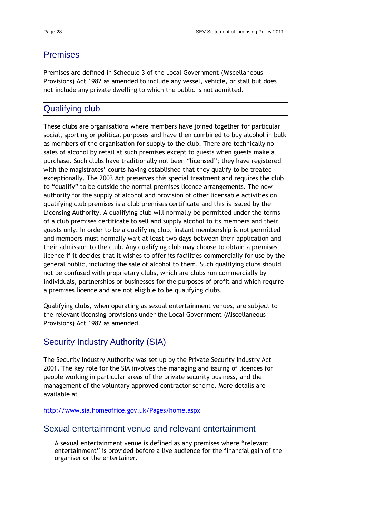#### Premises

Premises are defined in Schedule 3 of the Local Government (Miscellaneous Provisions) Act 1982 as amended to include any vessel, vehicle, or stall but does not include any private dwelling to which the public is not admitted.

### Qualifying club

These clubs are organisations where members have joined together for particular social, sporting or political purposes and have then combined to buy alcohol in bulk as members of the organisation for supply to the club. There are technically no sales of alcohol by retail at such premises except to guests when guests make a purchase. Such clubs have traditionally not been "licensed"; they have registered with the magistrates' courts having established that they qualify to be treated exceptionally. The 2003 Act preserves this special treatment and requires the club to "qualify" to be outside the normal premises licence arrangements. The new authority for the supply of alcohol and provision of other licensable activities on qualifying club premises is a club premises certificate and this is issued by the Licensing Authority. A qualifying club will normally be permitted under the terms of a club premises certificate to sell and supply alcohol to its members and their guests only. In order to be a qualifying club, instant membership is not permitted and members must normally wait at least two days between their application and their admission to the club. Any qualifying club may choose to obtain a premises licence if it decides that it wishes to offer its facilities commercially for use by the general public, including the sale of alcohol to them. Such qualifying clubs should not be confused with proprietary clubs, which are clubs run commercially by individuals, partnerships or businesses for the purposes of profit and which require a premises licence and are not eligible to be qualifying clubs.

Qualifying clubs, when operating as sexual entertainment venues, are subject to the relevant licensing provisions under the Local Government (Miscellaneous Provisions) Act 1982 as amended.

### Security Industry Authority (SIA)

The Security Industry Authority was set up by the Private Security Industry Act 2001. The key role for the SIA involves the managing and issuing of licences for people working in particular areas of the private security business, and the management of the voluntary approved contractor scheme. More details are available at

<http://www.sia.homeoffice.gov.uk/Pages/home.aspx>

#### Sexual entertainment venue and relevant entertainment

A sexual entertainment venue is defined as any premises where "relevant entertainment" is provided before a live audience for the financial gain of the organiser or the entertainer.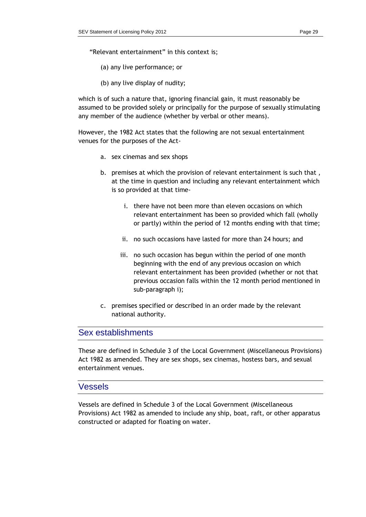"Relevant entertainment" in this context is;

- (a) any live performance; or
- (b) any live display of nudity;

which is of such a nature that, ignoring financial gain, it must reasonably be assumed to be provided solely or principally for the purpose of sexually stimulating any member of the audience (whether by verbal or other means).

However, the 1982 Act states that the following are not sexual entertainment venues for the purposes of the Act-

- a. sex cinemas and sex shops
- b. premises at which the provision of relevant entertainment is such that , at the time in question and including any relevant entertainment which is so provided at that time
	- i. there have not been more than eleven occasions on which relevant entertainment has been so provided which fall (wholly or partly) within the period of 12 months ending with that time;
	- ii. no such occasions have lasted for more than 24 hours; and
	- iii. no such occasion has begun within the period of one month beginning with the end of any previous occasion on which relevant entertainment has been provided (whether or not that previous occasion falls within the 12 month period mentioned in sub-paragraph i);
- c. premises specified or described in an order made by the relevant national authority.

## Sex establishments

These are defined in Schedule 3 of the Local Government (Miscellaneous Provisions) Act 1982 as amended. They are sex shops, sex cinemas, hostess bars, and sexual entertainment venues.

### Vessels

Vessels are defined in Schedule 3 of the Local Government (Miscellaneous Provisions) Act 1982 as amended to include any ship, boat, raft, or other apparatus constructed or adapted for floating on water.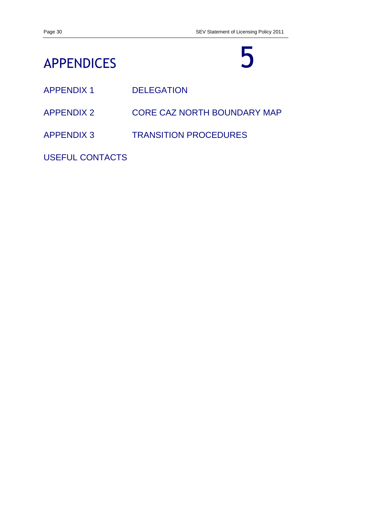# <span id="page-29-0"></span>APPENDICES

# 5

- APPENDIX 1 DELEGATION
- APPENDIX 2 CORE CAZ NORTH BOUNDARY MAP
- APPENDIX 3 TRANSITION PROCEDURES

USEFUL CONTACTS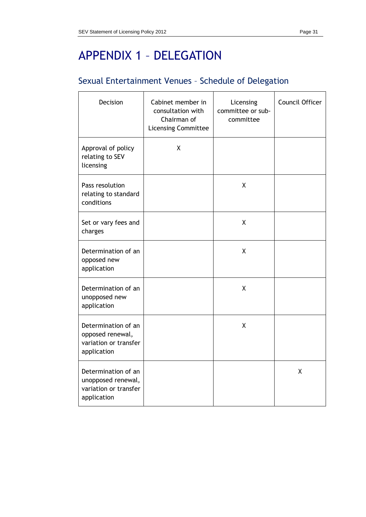# APPENDIX 1 – DELEGATION

# Sexual Entertainment Venues – Schedule of Delegation

| Decision                                                                          | Cabinet member in<br>consultation with<br>Chairman of<br><b>Licensing Committee</b> | Licensing<br>committee or sub-<br>committee | Council Officer |
|-----------------------------------------------------------------------------------|-------------------------------------------------------------------------------------|---------------------------------------------|-----------------|
| Approval of policy<br>relating to SEV<br>licensing                                | X                                                                                   |                                             |                 |
| Pass resolution<br>relating to standard<br>conditions                             |                                                                                     | χ                                           |                 |
| Set or vary fees and<br>charges                                                   |                                                                                     | X                                           |                 |
| Determination of an<br>opposed new<br>application                                 |                                                                                     | Χ                                           |                 |
| Determination of an<br>unopposed new<br>application                               |                                                                                     | X                                           |                 |
| Determination of an<br>opposed renewal,<br>variation or transfer<br>application   |                                                                                     | X                                           |                 |
| Determination of an<br>unopposed renewal,<br>variation or transfer<br>application |                                                                                     |                                             | X               |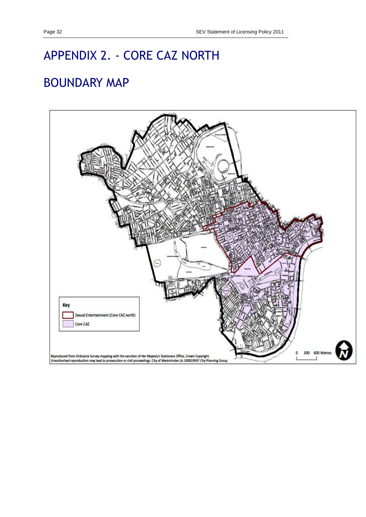# APPENDIX 2. - CORE CAZ NORTH

# BOUNDARY MAP

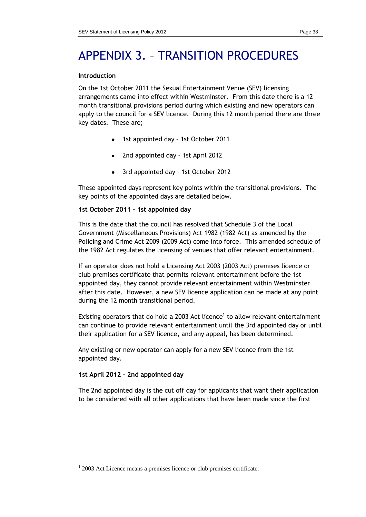# APPENDIX 3. – TRANSITION PROCEDURES

#### **Introduction**

On the 1st October 2011 the Sexual Entertainment Venue (SEV) licensing arrangements came into effect within Westminster. From this date there is a 12 month transitional provisions period during which existing and new operators can apply to the council for a SEV licence. During this 12 month period there are three key dates. These are;

- 1st appointed day 1st October 2011
- 2nd appointed day 1st April 2012
- 3rd appointed day 1st October 2012

These appointed days represent key points within the transitional provisions. The key points of the appointed days are detailed below.

#### **1st October 2011 – 1st appointed day**

This is the date that the council has resolved that Schedule 3 of the Local Government (Miscellaneous Provisions) Act 1982 (1982 Act) as amended by the Policing and Crime Act 2009 (2009 Act) come into force. This amended schedule of the 1982 Act regulates the licensing of venues that offer relevant entertainment.

If an operator does not hold a Licensing Act 2003 (2003 Act) premises licence or club premises certificate that permits relevant entertainment before the 1st appointed day, they cannot provide relevant entertainment within Westminster after this date. However, a new SEV licence application can be made at any point during the 12 month transitional period.

Existing operators that do hold a 2003 Act licence<sup>1</sup> to allow relevant entertainment can continue to provide relevant entertainment until the 3rd appointed day or until their application for a SEV licence, and any appeal, has been determined.

Any existing or new operator can apply for a new SEV licence from the 1st appointed day.

#### **1st April 2012 – 2nd appointed day**

-

The 2nd appointed day is the cut off day for applicants that want their application to be considered with all other applications that have been made since the first

<sup>&</sup>lt;sup>1</sup> 2003 Act Licence means a premises licence or club premises certificate.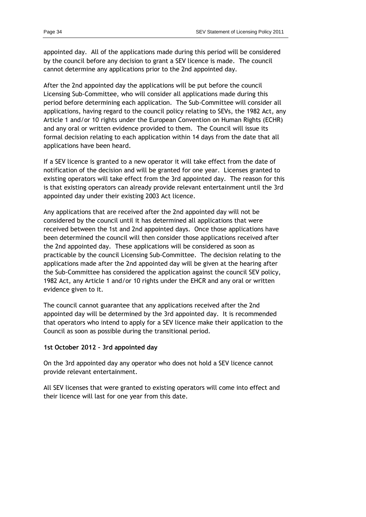appointed day. All of the applications made during this period will be considered by the council before any decision to grant a SEV licence is made. The council cannot determine any applications prior to the 2nd appointed day.

After the 2nd appointed day the applications will be put before the council Licensing Sub-Committee, who will consider all applications made during this period before determining each application. The Sub-Committee will consider all applications, having regard to the council policy relating to SEVs, the 1982 Act, any Article 1 and/or 10 rights under the European Convention on Human Rights (ECHR) and any oral or written evidence provided to them. The Council will issue its formal decision relating to each application within 14 days from the date that all applications have been heard.

If a SEV licence is granted to a new operator it will take effect from the date of notification of the decision and will be granted for one year. Licenses granted to existing operators will take effect from the 3rd appointed day. The reason for this is that existing operators can already provide relevant entertainment until the 3rd appointed day under their existing 2003 Act licence.

Any applications that are received after the 2nd appointed day will not be considered by the council until it has determined all applications that were received between the 1st and 2nd appointed days. Once those applications have been determined the council will then consider those applications received after the 2nd appointed day. These applications will be considered as soon as practicable by the council Licensing Sub-Committee. The decision relating to the applications made after the 2nd appointed day will be given at the hearing after the Sub-Committee has considered the application against the council SEV policy, 1982 Act, any Article 1 and/or 10 rights under the EHCR and any oral or written evidence given to it.

The council cannot guarantee that any applications received after the 2nd appointed day will be determined by the 3rd appointed day. It is recommended that operators who intend to apply for a SEV licence make their application to the Council as soon as possible during the transitional period.

#### **1st October 2012 – 3rd appointed day**

On the 3rd appointed day any operator who does not hold a SEV licence cannot provide relevant entertainment.

All SEV licenses that were granted to existing operators will come into effect and their licence will last for one year from this date.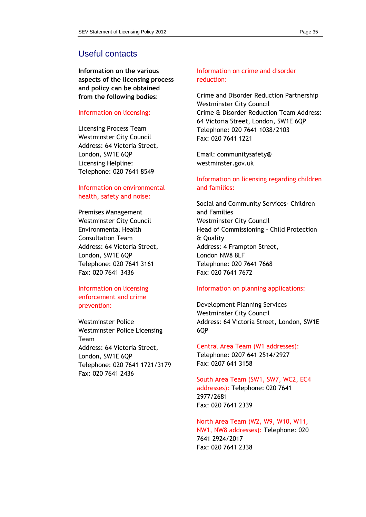### Useful contacts

**Information on the various aspects of the licensing process and policy can be obtained from the following bodies**:

#### Information on licensing:

Licensing Process Team Westminster City Council Address: 64 Victoria Street, London, SW1E 6QP Licensing Helpline: Telephone: 020 7641 8549

#### Information on environmental health, safety and noise:

Premises Management Westminster City Council Environmental Health Consultation Team Address: 64 Victoria Street, London, SW1E 6QP Telephone: 020 7641 3161 Fax: 020 7641 3436

#### Information on licensing enforcement and crime prevention:

Westminster Police Westminster Police Licensing Team Address: 64 Victoria Street, London, SW1E 6QP Telephone: 020 7641 1721/3179 Fax: 020 7641 2436

### Information on crime and disorder reduction:

Crime and Disorder Reduction Partnership Westminster City Council Crime & Disorder Reduction Team Address: 64 Victoria Street, London, SW1E 6QP Telephone: 020 7641 1038/2103 Fax: 020 7641 1221

Email: communitysafety@ westminster.gov.uk

#### Information on licensing regarding children and families:

Social and Community Services- Children and Families Westminster City Council Head of Commissioning - Child Protection & Quality Address: 4 Frampton Street, London NW8 8LF Telephone: 020 7641 7668 Fax: 020 7641 7672

#### Information on planning applications:

Development Planning Services Westminster City Council Address: 64 Victoria Street, London, SW1E 6QP

#### Central Area Team (W1 addresses): Telephone: 0207 641 2514/2927 Fax: 0207 641 3158

South Area Team (SW1, SW7, WC2, EC4 addresses): Telephone: 020 7641 2977/2681 Fax: 020 7641 2339

North Area Team (W2, W9, W10, W11, NW1, NW8 addresses): Telephone: 020 7641 2924/2017 Fax: 020 7641 2338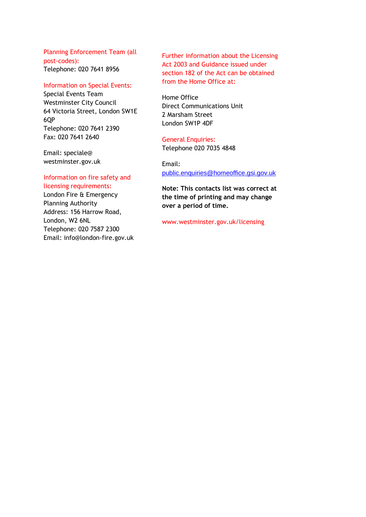Planning Enforcement Team (all post-codes): Telephone: 020 7641 8956

#### Information on Special Events:

Special Events Team Westminster City Council 64 Victoria Street, London SW1E 6QP Telephone: 020 7641 2390 Fax: 020 7641 2640

Email: speciale@ westminster.gov.uk

#### Information on fire safety and licensing requirements:

London Fire & Emergency Planning Authority Address: 156 Harrow Road, London, W2 6NL Telephone: 020 7587 2300 Email: info@london-fire.gov.uk Further information about the Licensing Act 2003 and Guidance issued under section 182 of the Act can be obtained from the Home Office at:

Home Office Direct Communications Unit 2 Marsham Street London SW1P 4DF

### General Enquiries:

Telephone 020 7035 4848

# Email:

[public.enquiries@homeoffice.gsi.gov.uk](mailto:public.enquiries@homeoffice.gsi.gov.uk)

**Note: This contacts list was correct at the time of printing and may change over a period of time.**

www.westminster.gov.uk/licensing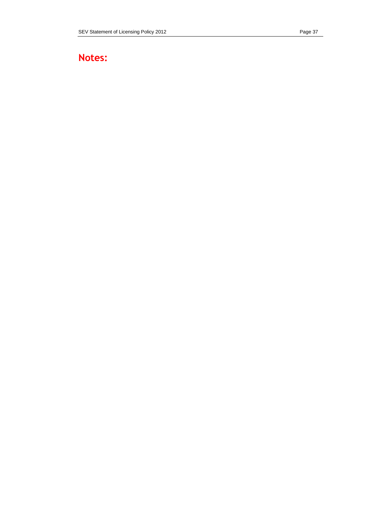# **Notes:**